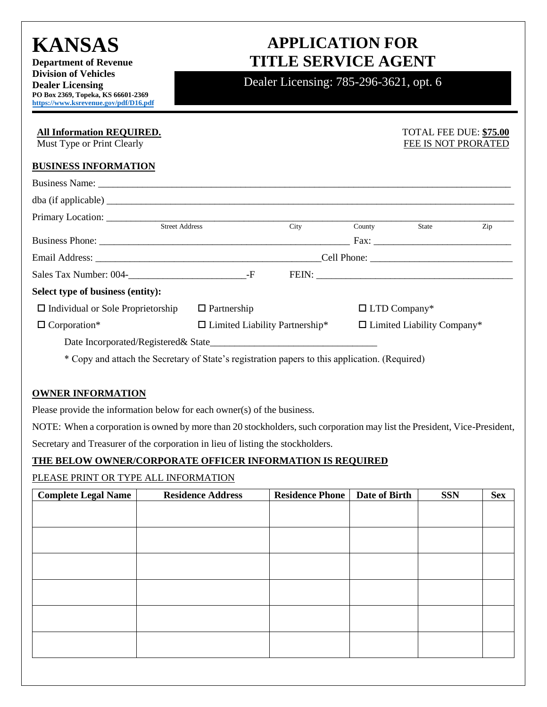# **KANSAS**

**Department of Revenue Division of Vehicles Dealer Licensing PO Box 2369, Topeka, KS 66601-2369 [https://www.ksrevenue.](https://www.ksrevenue.org/pdf/D16.pdf)gov/pdf/D16.pdf**

## **APPLICATION FOR TITLE SERVICE AGENT**

Dealer Licensing: 785-296-3621, opt. 6

| <b>All Information REQUIRED.</b><br>Must Type or Print Clearly                                 |                                       |      |                                   | <b>TOTAL FEE DUE: \$75.00</b> | FEE IS NOT PRORATED |
|------------------------------------------------------------------------------------------------|---------------------------------------|------|-----------------------------------|-------------------------------|---------------------|
| <b>BUSINESS INFORMATION</b>                                                                    |                                       |      |                                   |                               |                     |
|                                                                                                |                                       |      |                                   |                               |                     |
|                                                                                                |                                       |      |                                   |                               |                     |
|                                                                                                |                                       |      |                                   |                               |                     |
| <b>Street Address</b>                                                                          |                                       | City | County                            | State                         | Zip                 |
|                                                                                                |                                       |      |                                   |                               |                     |
|                                                                                                |                                       |      |                                   |                               |                     |
| Sales Tax Number: 004-<br>F                                                                    |                                       |      |                                   |                               |                     |
| Select type of business (entity):                                                              |                                       |      |                                   |                               |                     |
| $\Box$ Individual or Sole Proprietorship                                                       | $\Box$ Partnership                    |      |                                   | $\Box$ LTD Company*           |                     |
| $\Box$ Corporation*                                                                            | $\Box$ Limited Liability Partnership* |      | $\Box$ Limited Liability Company* |                               |                     |
|                                                                                                |                                       |      |                                   |                               |                     |
| * Copy and attach the Secretary of State's registration papers to this application. (Required) |                                       |      |                                   |                               |                     |

### **OWNER INFORMATION**

Please provide the information below for each owner(s) of the business.

NOTE: When a corporation is owned by more than 20 stockholders, such corporation may list the President, Vice-President,

Secretary and Treasurer of the corporation in lieu of listing the stockholders.

### **THE BELOW OWNER/CORPORATE OFFICER INFORMATION IS REQUIRED**

### PLEASE PRINT OR TYPE ALL INFORMATION

| <b>Complete Legal Name</b> | <b>Residence Address</b> | <b>Residence Phone</b> | Date of Birth | <b>SSN</b> | <b>Sex</b> |
|----------------------------|--------------------------|------------------------|---------------|------------|------------|
|                            |                          |                        |               |            |            |
|                            |                          |                        |               |            |            |
|                            |                          |                        |               |            |            |
|                            |                          |                        |               |            |            |
|                            |                          |                        |               |            |            |
|                            |                          |                        |               |            |            |
|                            |                          |                        |               |            |            |
|                            |                          |                        |               |            |            |
|                            |                          |                        |               |            |            |
|                            |                          |                        |               |            |            |
|                            |                          |                        |               |            |            |